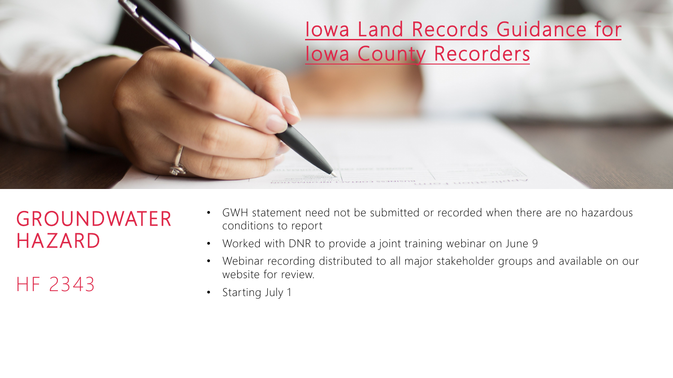

GROUNDWATER HAZARD

HF 2343

- GWH statement need not be submitted or recorded when there are no hazardous conditions to report
- Worked with DNR to provide a joint training webinar on June 9
- Webinar recording distributed to all major stakeholder groups and available on our website for review.
- Starting July 1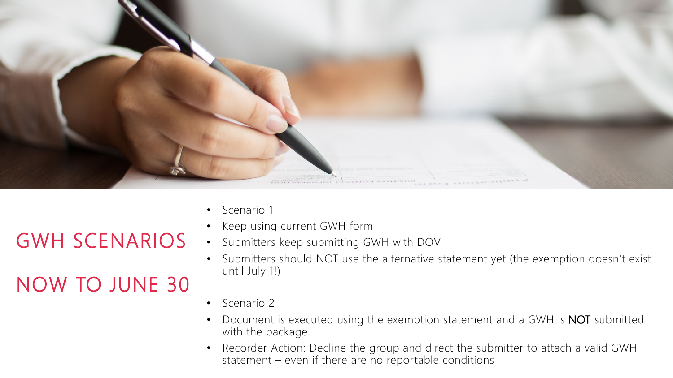

- Scenario 1
- Keep using current GWH form
- Submitters keep submitting GWH with DOV
	- Submitters should NOT use the alternative statement yet (the exemption doesn't exist until July 1!)
	- Scenario 2
	- Document is executed using the exemption statement and a GWH is **NOT** submitted with the package
	- Recorder Action: Decline the group and direct the submitter to attach a valid GWH statement – even if there are no reportable conditions

#### GWH SCENARIOS

#### NOW TO JUNE 30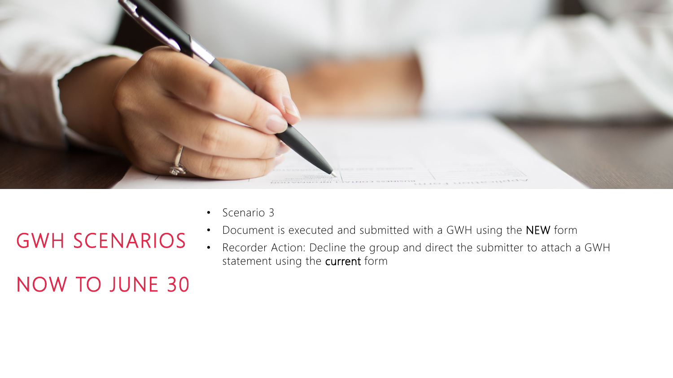

• Scenario 3

# GWH SCENARIOS

- Document is executed and submitted with a GWH using the NEW form
- Recorder Action: Decline the group and direct the submitter to attach a GWH statement using the current form

### NOW TO JUNE 30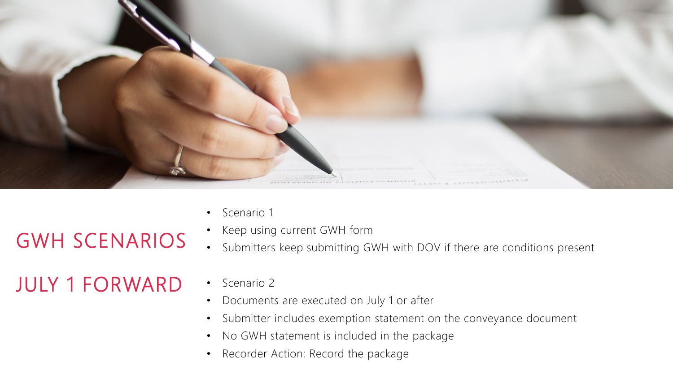

- Scenario 1
- Keep using current GWH form
- Submitters keep submitting GWH with DOV if there are conditions present

#### JULY 1 FORWARD

GWH SCENARIOS

- Scenario 2
- Documents are executed on July 1 or after
- Submitter includes exemption statement on the conveyance document
- No GWH statement is included in the package
- Recorder Action: Record the package